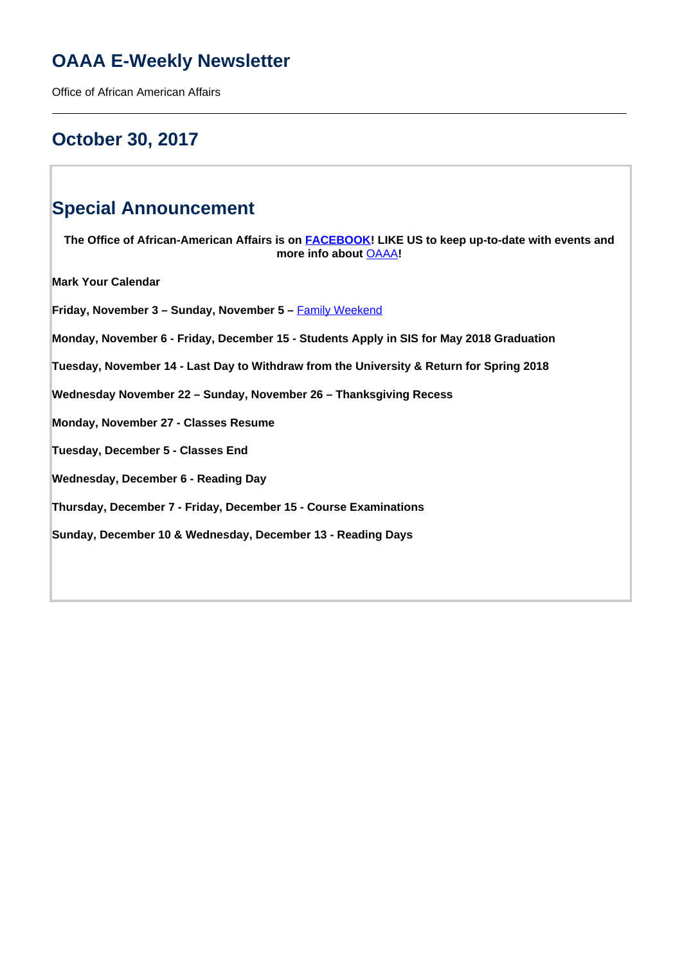# **OAAA E-Weekly Newsletter**

Office of African American Affairs

# **October 30, 2017**

# **Special Announcement**

**The Office of African-American Affairs is on [FACEBOOK!](https://www.facebook.com/OfficeofAfricanAmericanAffairs) LIKE US to keep up-to-date with events and more info about** OAAA**!**

**Mark Your Calendar**

Friday, November 3 - Sunday, November 5 - **Family Weekend** 

**Monday, November 6 - Friday, December 15 - Students Apply in SIS for May 2018 Graduation**

**Tuesday, November 14 - Last Day to Withdraw from the University & Return for Spring 2018**

**Wednesday November 22 – Sunday, November 26 – Thanksgiving Recess**

**Monday, November 27 - Classes Resume**

**Tuesday, December 5 - Classes End**

**Wednesday, December 6 - Reading Day**

**Thursday, December 7 - Friday, December 15 - Course Examinations**

**Sunday, December 10 & Wednesday, December 13 - Reading Days**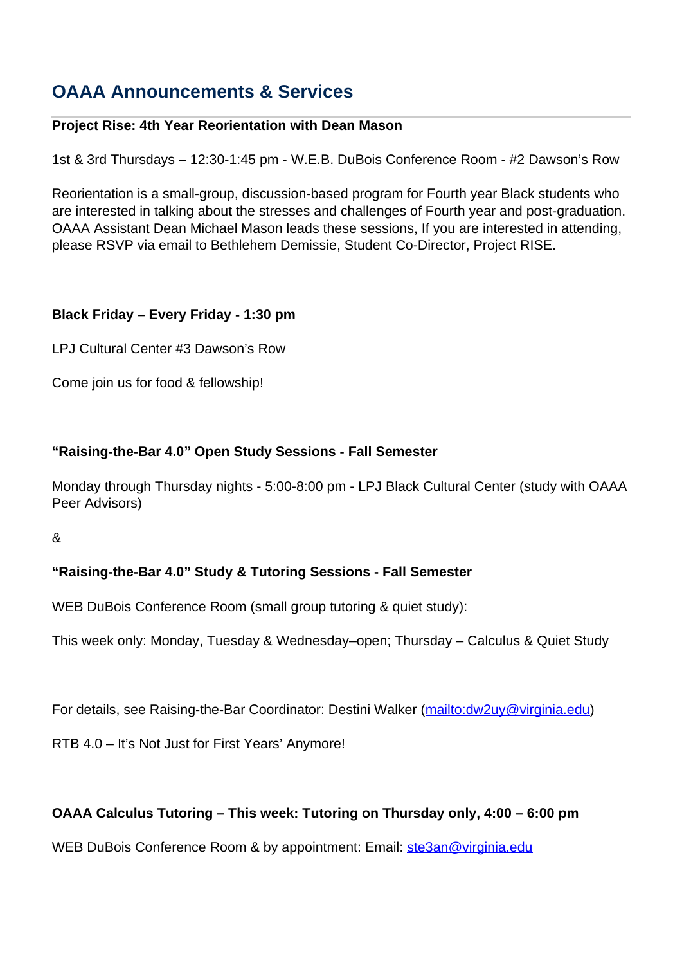# **OAAA Announcements & Services**

# **Project Rise: 4th Year Reorientation with Dean Mason**

1st & 3rd Thursdays – 12:30-1:45 pm - W.E.B. DuBois Conference Room - #2 Dawson's Row

Reorientation is a small-group, discussion-based program for Fourth year Black students who are interested in talking about the stresses and challenges of Fourth year and post-graduation. OAAA Assistant Dean Michael Mason leads these sessions, If you are interested in attending, please RSVP via email to Bethlehem Demissie, Student Co-Director, Project RISE.

# **Black Friday – Every Friday - 1:30 pm**

LPJ Cultural Center #3 Dawson's Row

Come join us for food & fellowship!

# **"Raising-the-Bar 4.0" Open Study Sessions - Fall Semester**

Monday through Thursday nights - 5:00-8:00 pm - LPJ Black Cultural Center (study with OAAA Peer Advisors)

&

# **"Raising-the-Bar 4.0" Study & Tutoring Sessions - Fall Semester**

WEB DuBois Conference Room (small group tutoring & quiet study):

This week only: Monday, Tuesday & Wednesday–open; Thursday – Calculus & Quiet Study

For details, see Raising-the-Bar Coordinator: Destini Walker (mailto:dw2uy@virginia.edu)

RTB 4.0 – It's Not Just for First Years' Anymore!

## **OAAA Calculus Tutoring – This week: Tutoring on Thursday only, 4:00 – 6:00 pm**

WEB DuBois Conference Room & by appointment: Email: ste3an@virginia.edu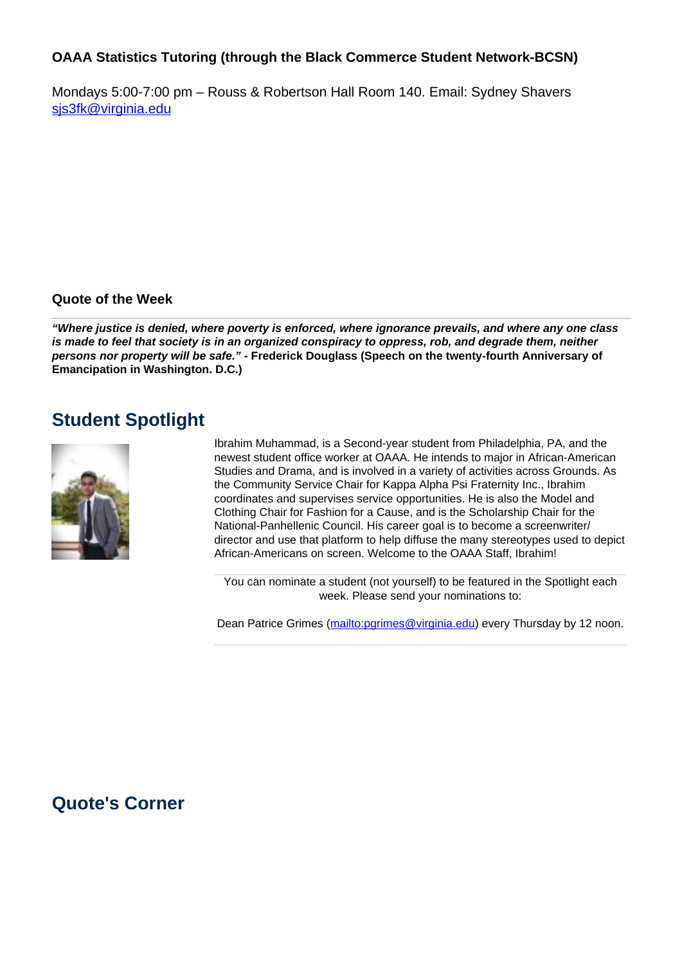## **OAAA Statistics Tutoring (through the Black Commerce Student Network-BCSN)**

Mondays 5:00-7:00 pm – Rouss & Robertson Hall Room 140. Email: Sydney Shavers sjs3fk@virginia.edu

### **Quote of the Week**

**"Where justice is denied, where poverty is enforced, where ignorance prevails, and where any one class is made to feel that society is in an organized conspiracy to oppress, rob, and degrade them, neither persons nor property will be safe." - Frederick Douglass (Speech on the twenty-fourth Anniversary of Emancipation in Washington. D.C.)**

# **Student Spotlight**



Ibrahim Muhammad, is a Second-year student from Philadelphia, PA, and the newest student office worker at OAAA. He intends to major in African-American Studies and Drama, and is involved in a variety of activities across Grounds. As the Community Service Chair for Kappa Alpha Psi Fraternity Inc., Ibrahim coordinates and supervises service opportunities. He is also the Model and Clothing Chair for Fashion for a Cause, and is the Scholarship Chair for the National-Panhellenic Council. His career goal is to become a screenwriter/ director and use that platform to help diffuse the many stereotypes used to depict African-Americans on screen. Welcome to the OAAA Staff, Ibrahim!

You can nominate a student (not yourself) to be featured in the Spotlight each week. Please send your nominations to:

Dean Patrice Grimes (mailto:pgrimes@virginia.edu) every Thursday by 12 noon.

# **Quote's Corner**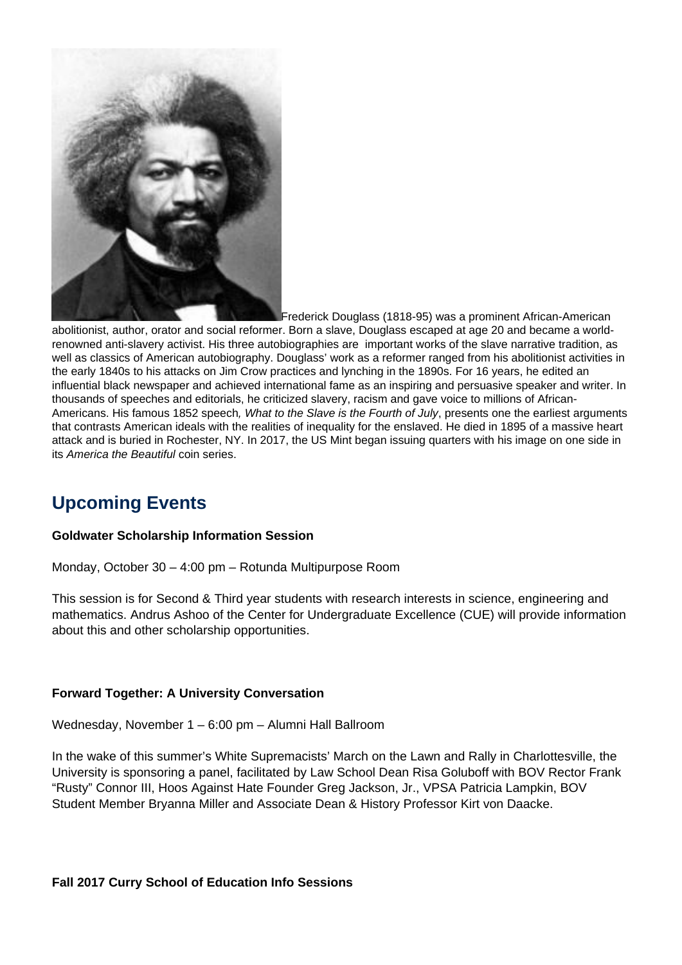

Frederick Douglass (1818-95) was a prominent African-American

abolitionist, author, orator and social reformer. Born a slave, Douglass escaped at age 20 and became a worldrenowned anti-slavery activist. His three autobiographies are important works of the slave narrative tradition, as well as classics of American autobiography. Douglass' work as a reformer ranged from his abolitionist activities in the early 1840s to his attacks on Jim Crow practices and lynching in the 1890s. For 16 years, he edited an influential black newspaper and achieved international fame as an inspiring and persuasive speaker and writer. In thousands of speeches and editorials, he criticized slavery, racism and gave voice to millions of African-Americans. His famous 1852 speech, What to the Slave is the Fourth of July, presents one the earliest arguments that contrasts American ideals with the realities of inequality for the enslaved. He died in 1895 of a massive heart attack and is buried in Rochester, NY. In 2017, the US Mint began issuing quarters with his image on one side in its America the Beautiful coin series.

# **Upcoming Events**

#### **Goldwater Scholarship Information Session**

Monday, October 30 – 4:00 pm – Rotunda Multipurpose Room

This session is for Second & Third year students with research interests in science, engineering and mathematics. Andrus Ashoo of the Center for Undergraduate Excellence (CUE) will provide information about this and other scholarship opportunities.

#### **Forward Together: A University Conversation**

Wednesday, November 1 – 6:00 pm – Alumni Hall Ballroom

In the wake of this summer's White Supremacists' March on the Lawn and Rally in Charlottesville, the University is sponsoring a panel, facilitated by Law School Dean Risa Goluboff with BOV Rector Frank "Rusty" Connor III, Hoos Against Hate Founder Greg Jackson, Jr., VPSA Patricia Lampkin, BOV Student Member Bryanna Miller and Associate Dean & History Professor Kirt von Daacke.

**Fall 2017 Curry School of Education Info Sessions**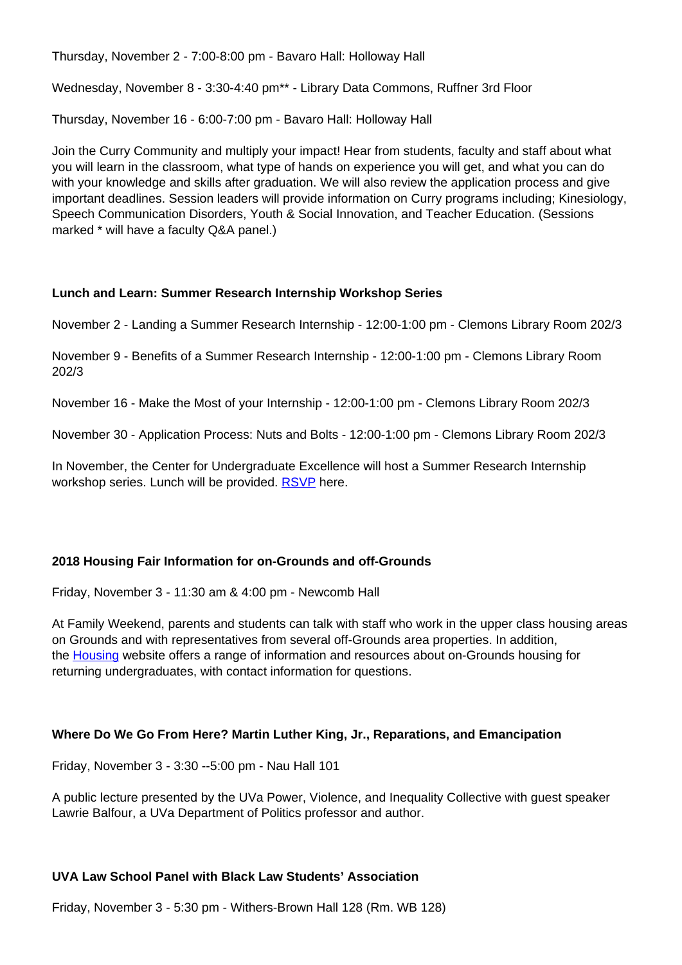Thursday, November 2 - 7:00-8:00 pm - Bavaro Hall: Holloway Hall

Wednesday, November 8 - 3:30-4:40 pm\*\* - Library Data Commons, Ruffner 3rd Floor

Thursday, November 16 - 6:00-7:00 pm - Bavaro Hall: Holloway Hall

Join the Curry Community and multiply your impact! Hear from students, faculty and staff about what you will learn in the classroom, what type of hands on experience you will get, and what you can do with your knowledge and skills after graduation. We will also review the application process and give important deadlines. Session leaders will provide information on Curry programs including; Kinesiology, Speech Communication Disorders, Youth & Social Innovation, and Teacher Education. (Sessions marked \* will have a faculty Q&A panel.)

### **Lunch and Learn: Summer Research Internship Workshop Series**

November 2 - Landing a Summer Research Internship - 12:00-1:00 pm - Clemons Library Room 202/3

November 9 - Benefits of a Summer Research Internship - 12:00-1:00 pm - Clemons Library Room 202/3

November 16 - Make the Most of your Internship - 12:00-1:00 pm - Clemons Library Room 202/3

November 30 - Application Process: Nuts and Bolts - 12:00-1:00 pm - Clemons Library Room 202/3

In November, the Center for Undergraduate Excellence will host a Summer Research Internship workshop series. Lunch will be provided. RSVP here.

## **2018 Housing Fair Information for on-Grounds and off-Grounds**

Friday, November 3 - 11:30 am & 4:00 pm - Newcomb Hall

At Family Weekend, parents and students can talk with staff who work in the upper class housing areas on Grounds and with representatives from several off-Grounds area properties. In addition, the Housing website offers a range of information and resources about on-Grounds housing for returning undergraduates, with contact information for questions.

#### **Where Do We Go From Here? Martin Luther King, Jr., Reparations, and Emancipation**

Friday, November 3 - 3:30 --5:00 pm - Nau Hall 101

A public lecture presented by the UVa Power, Violence, and Inequality Collective with guest speaker Lawrie Balfour, a UVa Department of Politics professor and author.

## **UVA Law School Panel with Black Law Students' Association**

Friday, November 3 - 5:30 pm - Withers-Brown Hall 128 (Rm. WB 128)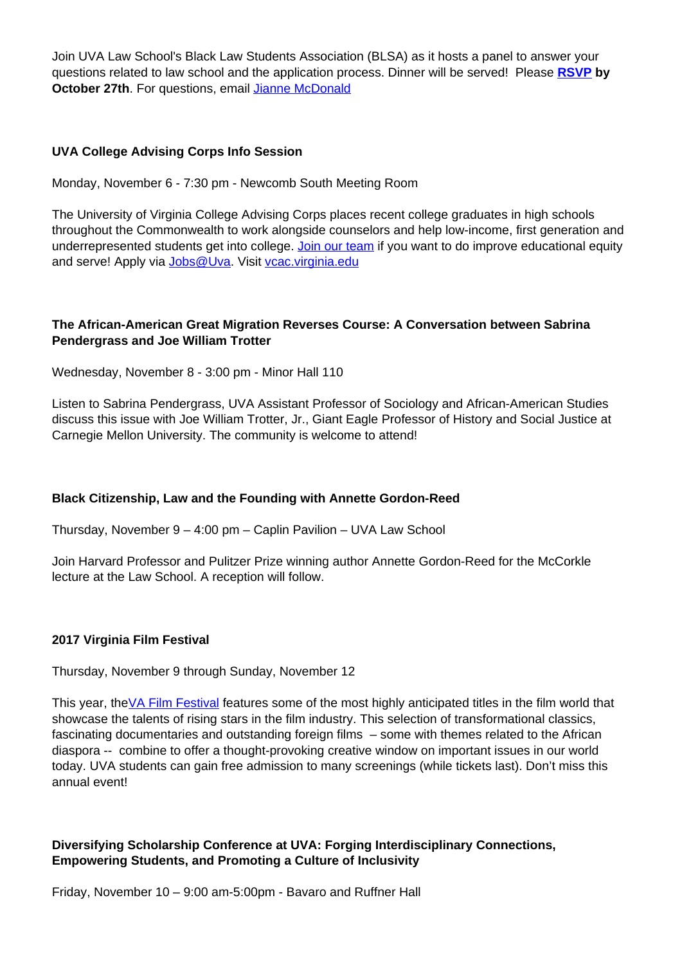Join UVA Law School's Black Law Students Association (BLSA) as it hosts a panel to answer your questions related to law school and the application process. Dinner will be served! Please **RSVP by October 27th**. For questions, email **Jianne McDonald** 

#### **UVA College Advising Corps Info Session**

Monday, November 6 - 7:30 pm - Newcomb South Meeting Room

The University of Virginia College Advising Corps places recent college graduates in high schools throughout the Commonwealth to work alongside counselors and help low-income, first generation and underrepresented students get into college. Join our team if you want to do improve educational equity and serve! Apply via Jobs@Uva. Visit vcac.virginia.edu

## **The African-American Great Migration Reverses Course: A Conversation between Sabrina Pendergrass and Joe William Trotter**

Wednesday, November 8 - 3:00 pm - Minor Hall 110

Listen to Sabrina Pendergrass, UVA Assistant Professor of Sociology and African-American Studies discuss this issue with Joe William Trotter, Jr., Giant Eagle Professor of History and Social Justice at Carnegie Mellon University. The community is welcome to attend!

#### **Black Citizenship, Law and the Founding with Annette Gordon-Reed**

Thursday, November 9 – 4:00 pm – Caplin Pavilion – UVA Law School

Join Harvard Professor and Pulitzer Prize winning author Annette Gordon-Reed for the McCorkle lecture at the Law School. A reception will follow.

#### **2017 Virginia Film Festival**

Thursday, November 9 through Sunday, November 12

This year, the VA Film Festival features some of the most highly anticipated titles in the film world that showcase the talents of rising stars in the film industry. This selection of transformational classics, fascinating documentaries and outstanding foreign films – some with themes related to the African diaspora -- combine to offer a thought-provoking creative window on important issues in our world today. UVA students can gain free admission to many screenings (while tickets last). Don't miss this annual event!

### **Diversifying Scholarship Conference at UVA: Forging Interdisciplinary Connections, Empowering Students, and Promoting a Culture of Inclusivity**

Friday, November 10 – 9:00 am-5:00pm - Bavaro and Ruffner Hall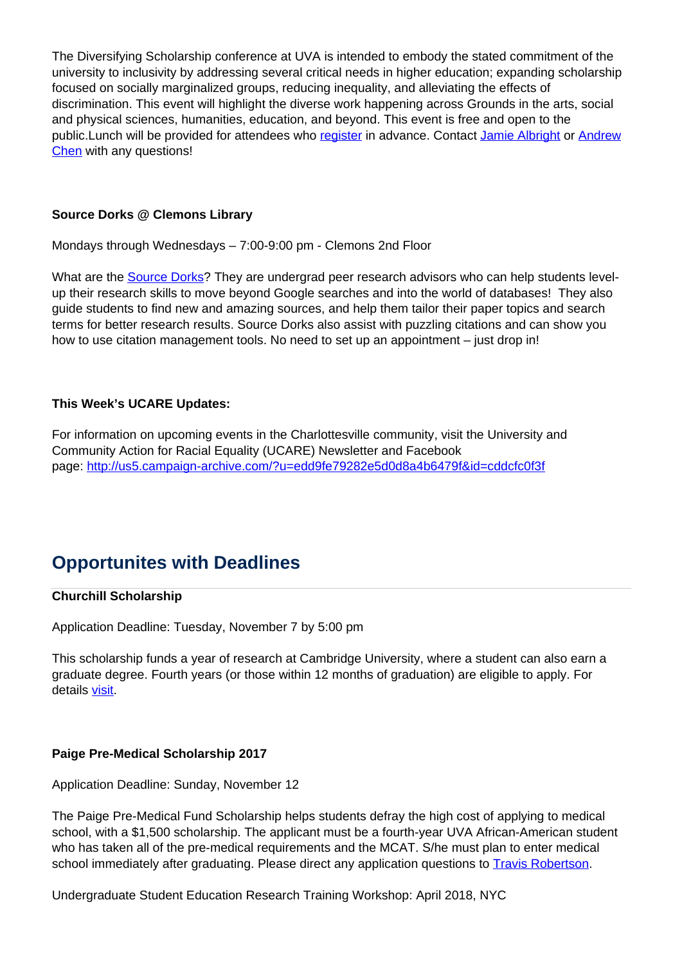The Diversifying Scholarship conference at UVA is intended to embody the stated commitment of the university to inclusivity by addressing several critical needs in higher education; expanding scholarship focused on socially marginalized groups, reducing inequality, and alleviating the effects of discrimination. This event will highlight the diverse work happening across Grounds in the arts, social and physical sciences, humanities, education, and beyond. This event is free and open to the public.Lunch will be provided for attendees who register in advance. Contact Jamie Albright or Andrew Chen with any questions!

### **Source Dorks @ Clemons Library**

Mondays through Wednesdays – 7:00-9:00 pm - Clemons 2nd Floor

What are the **Source Dorks**? They are undergrad peer research advisors who can help students levelup their research skills to move beyond Google searches and into the world of databases! They also guide students to find new and amazing sources, and help them tailor their paper topics and search terms for better research results. Source Dorks also assist with puzzling citations and can show you how to use citation management tools. No need to set up an appointment – just drop in!

### **This Week's UCARE Updates:**

For information on upcoming events in the Charlottesville community, visit the University and Community Action for Racial Equality (UCARE) Newsletter and Facebook page: http://us5.campaign-archive.com/?u=edd9fe79282e5d0d8a4b6479f&id=cddcfc0f3f

# **Opportunites with Deadlines**

#### **Churchill Scholarship**

Application Deadline: Tuesday, November 7 by 5:00 pm

This scholarship funds a year of research at Cambridge University, where a student can also earn a graduate degree. Fourth years (or those within 12 months of graduation) are eligible to apply. For details visit.

#### **Paige Pre-Medical Scholarship 2017**

Application Deadline: Sunday, November 12

The Paige Pre-Medical Fund Scholarship helps students defray the high cost of applying to medical school, with a \$1,500 scholarship. The applicant must be a fourth-year UVA African-American student who has taken all of the pre-medical requirements and the MCAT. S/he must plan to enter medical school immediately after graduating. Please direct any application questions to **Travis Robertson**.

Undergraduate Student Education Research Training Workshop: April 2018, NYC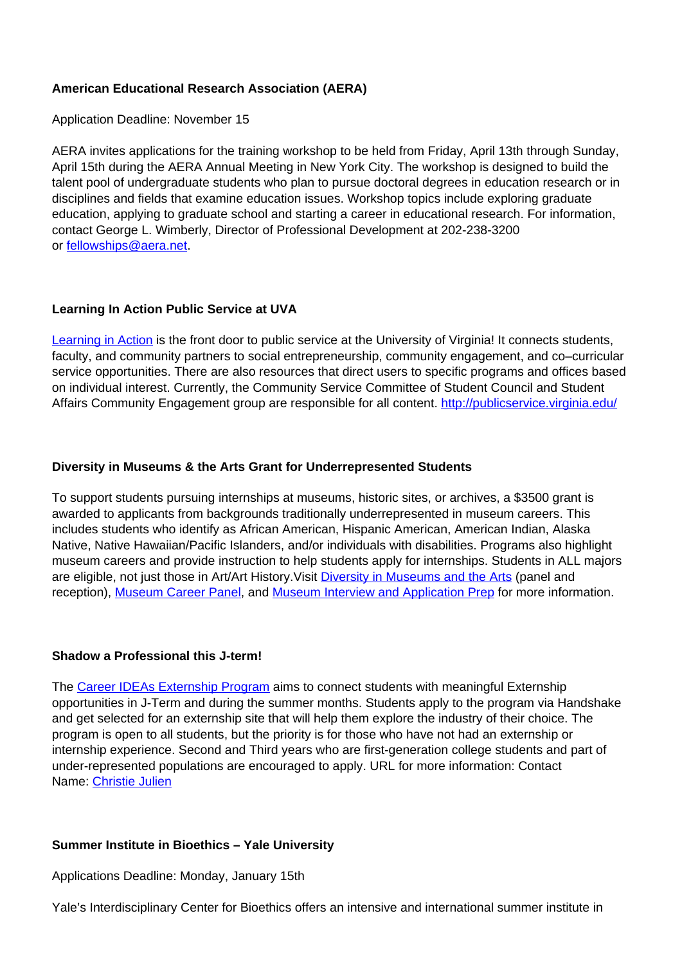### **American Educational Research Association (AERA)**

Application Deadline: November 15

AERA invites applications for the training workshop to be held from Friday, April 13th through Sunday, April 15th during the AERA Annual Meeting in New York City. The workshop is designed to build the talent pool of undergraduate students who plan to pursue doctoral degrees in education research or in disciplines and fields that examine education issues. Workshop topics include exploring graduate education, applying to graduate school and starting a career in educational research. For information, contact George L. Wimberly, Director of Professional Development at 202-238-3200 or fellowships@aera.net.

### **Learning In Action Public Service at UVA**

Learning in Action is the front door to public service at the University of Virginia! It connects students, faculty, and community partners to social entrepreneurship, community engagement, and co–curricular service opportunities. There are also resources that direct users to specific programs and offices based on individual interest. Currently, the Community Service Committee of Student Council and Student Affairs Community Engagement group are responsible for all content. http://publicservice.virginia.edu/

### **Diversity in Museums & the Arts Grant for Underrepresented Students**

To support students pursuing internships at museums, historic sites, or archives, a \$3500 grant is awarded to applicants from backgrounds traditionally underrepresented in museum careers. This includes students who identify as African American, Hispanic American, American Indian, Alaska Native, Native Hawaiian/Pacific Islanders, and/or individuals with disabilities. Programs also highlight museum careers and provide instruction to help students apply for internships. Students in ALL majors are eligible, not just those in Art/Art History. Visit **Diversity in Museums and the Arts (panel and** reception), Museum Career Panel, and Museum Interview and Application Prep for more information.

#### **Shadow a Professional this J-term!**

The Career IDEAs Externship Program aims to connect students with meaningful Externship opportunities in J-Term and during the summer months. Students apply to the program via Handshake and get selected for an externship site that will help them explore the industry of their choice. The program is open to all students, but the priority is for those who have not had an externship or internship experience. Second and Third years who are first-generation college students and part of under-represented populations are encouraged to apply. URL for more information: Contact Name: Christie Julien

#### **Summer Institute in Bioethics – Yale University**

Applications Deadline: Monday, January 15th

Yale's Interdisciplinary Center for Bioethics offers an intensive and international summer institute in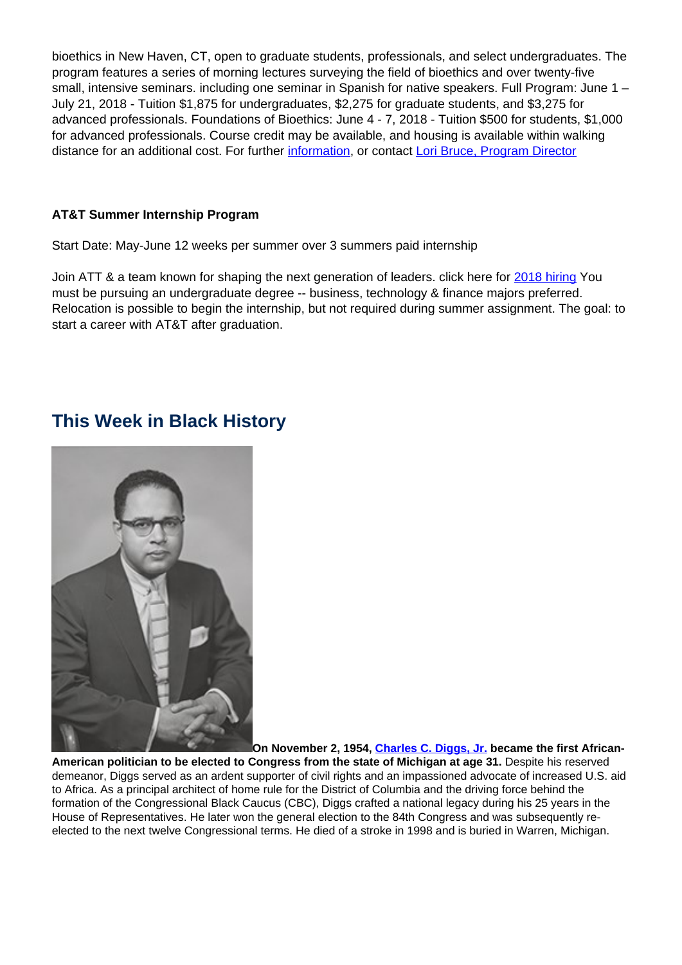bioethics in New Haven, CT, open to graduate students, professionals, and select undergraduates. The program features a series of morning lectures surveying the field of bioethics and over twenty-five small, intensive seminars. including one seminar in Spanish for native speakers. Full Program: June 1 – July 21, 2018 - Tuition \$1,875 for undergraduates, \$2,275 for graduate students, and \$3,275 for advanced professionals. Foundations of Bioethics: June 4 - 7, 2018 - Tuition \$500 for students, \$1,000 for advanced professionals. Course credit may be available, and housing is available within walking distance for an additional cost. For further information, or contact Lori Bruce, Program Director

## **AT&T Summer Internship Program**

Start Date: May-June 12 weeks per summer over 3 summers paid internship

Join ATT & a team known for shaping the next generation of leaders. click here for 2018 hiring You must be pursuing an undergraduate degree -- business, technology & finance majors preferred. Relocation is possible to begin the internship, but not required during summer assignment. The goal: to start a career with AT&T after graduation.

# **This Week in Black History**



**On November 2, 1954, Charles C. Diggs, Jr. became the first African-**

**American politician to be elected to Congress from the state of Michigan at age 31.** Despite his reserved demeanor, Diggs served as an ardent supporter of civil rights and an impassioned advocate of increased U.S. aid to Africa. As a principal architect of home rule for the District of Columbia and the driving force behind the formation of the Congressional Black Caucus (CBC), Diggs crafted a national legacy during his 25 years in the House of Representatives. He later won the general election to the 84th Congress and was subsequently reelected to the next twelve Congressional terms. He died of a stroke in 1998 and is buried in Warren, Michigan.